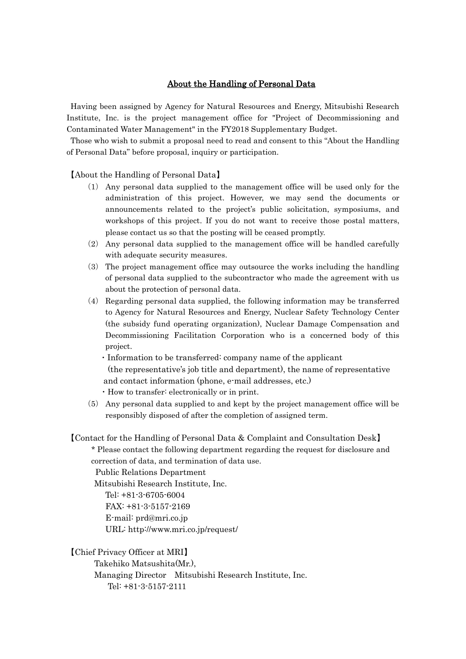## About the Handling of Personal Data

Having been assigned by Agency for Natural Resources and Energy, Mitsubishi Research Institute, Inc. is the project management office for "Project of Decommissioning and Contaminated Water Management" in the FY2018 Supplementary Budget.

Those who wish to submit a proposal need to read and consent to this "About the Handling of Personal Data" before proposal, inquiry or participation.

【About the Handling of Personal Data】

- (1) Any personal data supplied to the management office will be used only for the administration of this project. However, we may send the documents or announcements related to the project's public solicitation, symposiums, and workshops of this project. If you do not want to receive those postal matters, please contact us so that the posting will be ceased promptly.
- (2) Any personal data supplied to the management office will be handled carefully with adequate security measures.
- (3) The project management office may outsource the works including the handling of personal data supplied to the subcontractor who made the agreement with us about the protection of personal data.
- (4) Regarding personal data supplied, the following information may be transferred to Agency for Natural Resources and Energy, Nuclear Safety Technology Center (the subsidy fund operating organization), Nuclear Damage Compensation and Decommissioning Facilitation Corporation who is a concerned body of this project.
	- ・Information to be transferred: company name of the applicant (the representative's job title and department), the name of representative and contact information (phone, e-mail addresses, etc.)
	- ・How to transfer: electronically or in print.
- (5) Any personal data supplied to and kept by the project management office will be responsibly disposed of after the completion of assigned term.

【Contact for the Handling of Personal Data & Complaint and Consultation Desk】 \* Please contact the following department regarding the request for disclosure and

correction of data, and termination of data use.

Public Relations Department

Mitsubishi Research Institute, Inc.

Tel: +81-3-6705-6004 FAX: +81-3-5157-2169

E-mail: prd@mri.co.jp

URL: http://www.mri.co.jp/request/

【Chief Privacy Officer at MRI】

Takehiko Matsushita(Mr.),

Managing Director Mitsubishi Research Institute, Inc.

Tel: +81-3-5157-2111